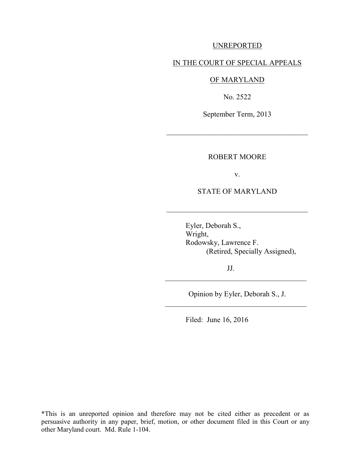### UNREPORTED

#### IN THE COURT OF SPECIAL APPEALS

### OF MARYLAND

No. 2522

September Term, 2013

\_\_\_\_\_\_\_\_\_\_\_\_\_\_\_\_\_\_\_\_\_\_\_\_\_\_\_\_\_\_\_\_\_\_\_\_\_\_

#### ROBERT MOORE

v.

### STATE OF MARYLAND

\_\_\_\_\_\_\_\_\_\_\_\_\_\_\_\_\_\_\_\_\_\_\_\_\_\_\_\_\_\_\_\_\_\_\_\_\_\_

 Eyler, Deborah S., Wright, Rodowsky, Lawrence F. (Retired, Specially Assigned),

JJ.

Opinion by Eyler, Deborah S., J. \_\_\_\_\_\_\_\_\_\_\_\_\_\_\_\_\_\_\_\_\_\_\_\_\_\_\_\_\_\_\_\_\_\_\_\_\_\_

 $\mathcal{L}_\text{max}$  , where  $\mathcal{L}_\text{max}$  , we are the set of  $\mathcal{L}_\text{max}$ 

Filed: June 16, 2016

\*This is an unreported opinion and therefore may not be cited either as precedent or as persuasive authority in any paper, brief, motion, or other document filed in this Court or any other Maryland court. Md. Rule 1-104.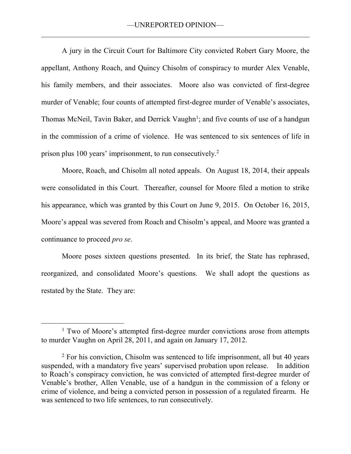A jury in the Circuit Court for Baltimore City convicted Robert Gary Moore, the appellant, Anthony Roach, and Quincy Chisolm of conspiracy to murder Alex Venable, his family members, and their associates. Moore also was convicted of first-degree murder of Venable; four counts of attempted first-degree murder of Venable's associates, Thomas McNeil, Tavin Baker, and Derrick Vaughn<sup>1</sup>; and five counts of use of a handgun in the commission of a crime of violence. He was sentenced to six sentences of life in prison plus 100 years' imprisonment, to run consecutively.<sup>2</sup>

Moore, Roach, and Chisolm all noted appeals. On August 18, 2014, their appeals were consolidated in this Court. Thereafter, counsel for Moore filed a motion to strike his appearance, which was granted by this Court on June 9, 2015. On October 16, 2015, Moore's appeal was severed from Roach and Chisolm's appeal, and Moore was granted a continuance to proceed *pro se*.

Moore poses sixteen questions presented. In its brief, the State has rephrased, reorganized, and consolidated Moore's questions. We shall adopt the questions as restated by the State. They are:

 $\overline{a}$ 

<sup>&</sup>lt;sup>1</sup> Two of Moore's attempted first-degree murder convictions arose from attempts to murder Vaughn on April 28, 2011, and again on January 17, 2012.

<sup>&</sup>lt;sup>2</sup> For his conviction, Chisolm was sentenced to life imprisonment, all but 40 years suspended, with a mandatory five years' supervised probation upon release. In addition to Roach's conspiracy conviction, he was convicted of attempted first-degree murder of Venable's brother, Allen Venable, use of a handgun in the commission of a felony or crime of violence, and being a convicted person in possession of a regulated firearm. He was sentenced to two life sentences, to run consecutively.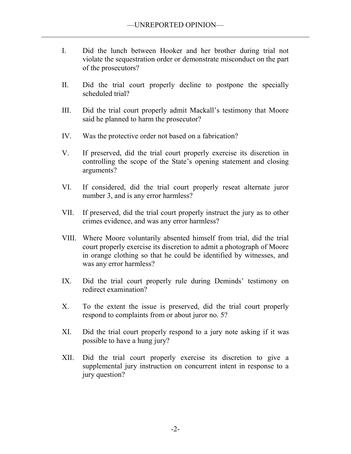- I. Did the lunch between Hooker and her brother during trial not violate the sequestration order or demonstrate misconduct on the part of the prosecutors?
- II. Did the trial court properly decline to postpone the specially scheduled trial?
- III. Did the trial court properly admit Mackall's testimony that Moore said he planned to harm the prosecutor?
- IV. Was the protective order not based on a fabrication?
- V. If preserved, did the trial court properly exercise its discretion in controlling the scope of the State's opening statement and closing arguments?
- VI. If considered, did the trial court properly reseat alternate juror number 3, and is any error harmless?
- VII. If preserved, did the trial court properly instruct the jury as to other crimes evidence, and was any error harmless?
- VIII. Where Moore voluntarily absented himself from trial, did the trial court properly exercise its discretion to admit a photograph of Moore in orange clothing so that he could be identified by witnesses, and was any error harmless?
- IX. Did the trial court properly rule during Deminds' testimony on redirect examination?
- X. To the extent the issue is preserved, did the trial court properly respond to complaints from or about juror no. 5?
- XI. Did the trial court properly respond to a jury note asking if it was possible to have a hung jury?
- XII. Did the trial court properly exercise its discretion to give a supplemental jury instruction on concurrent intent in response to a jury question?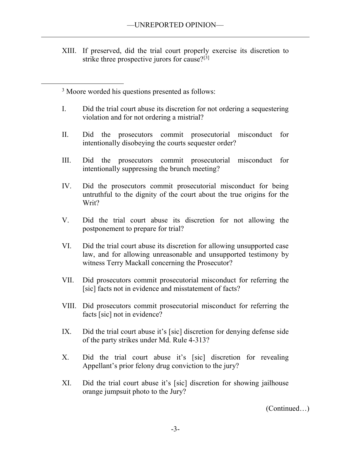XIII. If preserved, did the trial court properly exercise its discretion to strike three prospective jurors for cause?<sup>[3]</sup>

<sup>3</sup> Moore worded his questions presented as follows:

 $\overline{a}$ 

- I. Did the trial court abuse its discretion for not ordering a sequestering violation and for not ordering a mistrial?
- II. Did the prosecutors commit prosecutorial misconduct for intentionally disobeying the courts sequester order?
- III. Did the prosecutors commit prosecutorial misconduct for intentionally suppressing the brunch meeting?
- IV. Did the prosecutors commit prosecutorial misconduct for being untruthful to the dignity of the court about the true origins for the Writ?
- V. Did the trial court abuse its discretion for not allowing the postponement to prepare for trial?
- VI. Did the trial court abuse its discretion for allowing unsupported case law, and for allowing unreasonable and unsupported testimony by witness Terry Mackall concerning the Prosecutor?
- VII. Did prosecutors commit prosecutorial misconduct for referring the [sic] facts not in evidence and misstatement of facts?
- VIII. Did prosecutors commit prosecutorial misconduct for referring the facts [sic] not in evidence?
- IX. Did the trial court abuse it's [sic] discretion for denying defense side of the party strikes under Md. Rule 4-313?
- X. Did the trial court abuse it's [sic] discretion for revealing Appellant's prior felony drug conviction to the jury?
- XI. Did the trial court abuse it's [sic] discretion for showing jailhouse orange jumpsuit photo to the Jury?

(Continued…)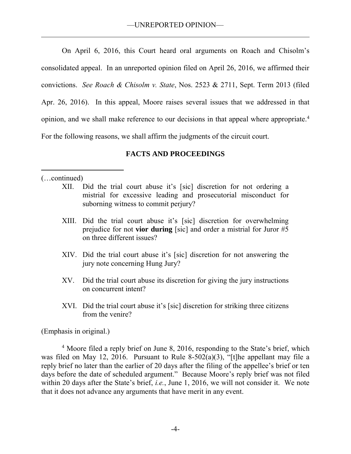On April 6, 2016, this Court heard oral arguments on Roach and Chisolm's consolidated appeal. In an unreported opinion filed on April 26, 2016, we affirmed their convictions. *See Roach & Chisolm v. State*, Nos. 2523 & 2711, Sept. Term 2013 (filed Apr. 26, 2016). In this appeal, Moore raises several issues that we addressed in that opinion, and we shall make reference to our decisions in that appeal where appropriate.<sup>4</sup> For the following reasons, we shall affirm the judgments of the circuit court.

# **FACTS AND PROCEEDINGS**

# (…continued)

 $\overline{a}$ 

- XII. Did the trial court abuse it's [sic] discretion for not ordering a mistrial for excessive leading and prosecutorial misconduct for suborning witness to commit perjury?
- XIII. Did the trial court abuse it's [sic] discretion for overwhelming prejudice for not **vior during** [sic] and order a mistrial for Juror #5 on three different issues?
- XIV. Did the trial court abuse it's [sic] discretion for not answering the jury note concerning Hung Jury?
- XV. Did the trial court abuse its discretion for giving the jury instructions on concurrent intent?
- XVI. Did the trial court abuse it's [sic] discretion for striking three citizens from the venire?

(Emphasis in original.)

<sup>4</sup> Moore filed a reply brief on June 8, 2016, responding to the State's brief, which was filed on May 12, 2016. Pursuant to Rule 8-502(a)(3), "[t]he appellant may file a reply brief no later than the earlier of 20 days after the filing of the appellee's brief or ten days before the date of scheduled argument." Because Moore's reply brief was not filed within 20 days after the State's brief, *i.e.*, June 1, 2016, we will not consider it. We note that it does not advance any arguments that have merit in any event.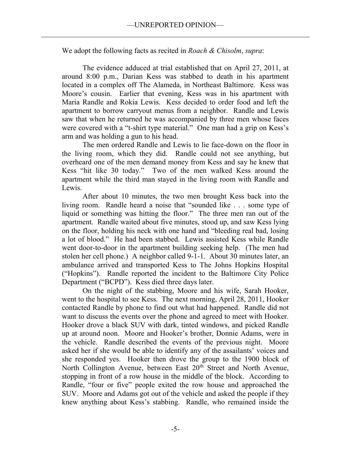We adopt the following facts as recited in *Roach & Chisolm*, *supra*:

The evidence adduced at trial established that on April 27, 2011, at around 8:00 p.m., Darian Kess was stabbed to death in his apartment located in a complex off The Alameda, in Northeast Baltimore. Kess was Moore's cousin. Earlier that evening, Kess was in his apartment with Maria Randle and Rokia Lewis. Kess decided to order food and left the apartment to borrow carryout menus from a neighbor. Randle and Lewis saw that when he returned he was accompanied by three men whose faces were covered with a "t-shirt type material." One man had a grip on Kess's arm and was holding a gun to his head.

 The men ordered Randle and Lewis to lie face-down on the floor in the living room, which they did. Randle could not see anything, but overheard one of the men demand money from Kess and say he knew that Kess "hit like 30 today." Two of the men walked Kess around the apartment while the third man stayed in the living room with Randle and Lewis.

After about 10 minutes, the two men brought Kess back into the living room. Randle heard a noise that "sounded like . . . some type of liquid or something was hitting the floor." The three men ran out of the apartment. Randle waited about five minutes, stood up, and saw Kess lying on the floor, holding his neck with one hand and "bleeding real bad, losing a lot of blood." He had been stabbed. Lewis assisted Kess while Randle went door-to-door in the apartment building seeking help. (The men had stolen her cell phone.) A neighbor called 9-1-1. About 30 minutes later, an ambulance arrived and transported Kess to The Johns Hopkins Hospital ("Hopkins"). Randle reported the incident to the Baltimore City Police Department ("BCPD"). Kess died three days later.

On the night of the stabbing, Moore and his wife, Sarah Hooker, went to the hospital to see Kess. The next morning, April 28, 2011, Hooker contacted Randle by phone to find out what had happened. Randle did not want to discuss the events over the phone and agreed to meet with Hooker. Hooker drove a black SUV with dark, tinted windows, and picked Randle up at around noon. Moore and Hooker's brother, Donnie Adams, were in the vehicle. Randle described the events of the previous night. Moore asked her if she would be able to identify any of the assailants' voices and she responded yes. Hooker then drove the group to the 1900 block of North Collington Avenue, between East 20<sup>th</sup> Street and North Avenue, stopping in front of a row house in the middle of the block. According to Randle, "four or five" people exited the row house and approached the SUV. Moore and Adams got out of the vehicle and asked the people if they knew anything about Kess's stabbing. Randle, who remained inside the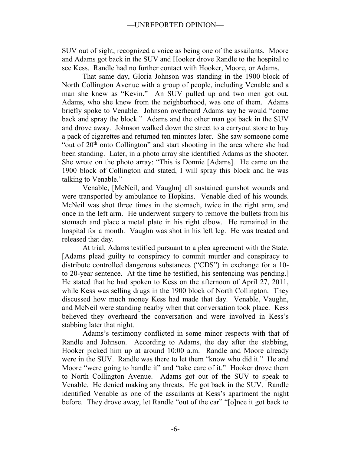SUV out of sight, recognized a voice as being one of the assailants. Moore and Adams got back in the SUV and Hooker drove Randle to the hospital to see Kess. Randle had no further contact with Hooker, Moore, or Adams.

That same day, Gloria Johnson was standing in the 1900 block of North Collington Avenue with a group of people, including Venable and a man she knew as "Kevin." An SUV pulled up and two men got out. Adams, who she knew from the neighborhood, was one of them. Adams briefly spoke to Venable. Johnson overheard Adams say he would "come back and spray the block." Adams and the other man got back in the SUV and drove away. Johnson walked down the street to a carryout store to buy a pack of cigarettes and returned ten minutes later. She saw someone come "out of 20th onto Collington" and start shooting in the area where she had been standing. Later, in a photo array she identified Adams as the shooter. She wrote on the photo array: "This is Donnie [Adams]. He came on the 1900 block of Collington and stated, I will spray this block and he was talking to Venable."

Venable, [McNeil, and Vaughn] all sustained gunshot wounds and were transported by ambulance to Hopkins. Venable died of his wounds. McNeil was shot three times in the stomach, twice in the right arm, and once in the left arm. He underwent surgery to remove the bullets from his stomach and place a metal plate in his right elbow. He remained in the hospital for a month. Vaughn was shot in his left leg. He was treated and released that day.

At trial, Adams testified pursuant to a plea agreement with the State. [Adams plead guilty to conspiracy to commit murder and conspiracy to distribute controlled dangerous substances ("CDS") in exchange for a 10 to 20-year sentence. At the time he testified, his sentencing was pending.] He stated that he had spoken to Kess on the afternoon of April 27, 2011, while Kess was selling drugs in the 1900 block of North Collington. They discussed how much money Kess had made that day. Venable, Vaughn, and McNeil were standing nearby when that conversation took place. Kess believed they overheard the conversation and were involved in Kess's stabbing later that night.

Adams's testimony conflicted in some minor respects with that of Randle and Johnson. According to Adams, the day after the stabbing, Hooker picked him up at around 10:00 a.m. Randle and Moore already were in the SUV. Randle was there to let them "know who did it." He and Moore "were going to handle it" and "take care of it." Hooker drove them to North Collington Avenue. Adams got out of the SUV to speak to Venable. He denied making any threats. He got back in the SUV. Randle identified Venable as one of the assailants at Kess's apartment the night before. They drove away, let Randle "out of the car" "[o]nce it got back to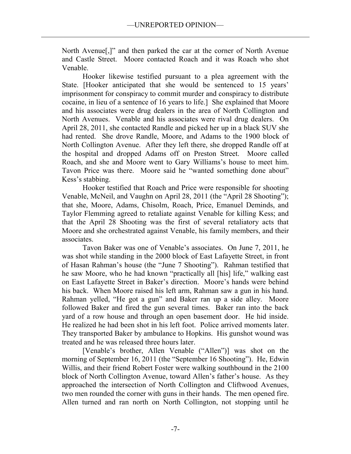North Avenue[,]" and then parked the car at the corner of North Avenue and Castle Street. Moore contacted Roach and it was Roach who shot Venable.

Hooker likewise testified pursuant to a plea agreement with the State. [Hooker anticipated that she would be sentenced to 15 years' imprisonment for conspiracy to commit murder and conspiracy to distribute cocaine, in lieu of a sentence of 16 years to life.] She explained that Moore and his associates were drug dealers in the area of North Collington and North Avenues. Venable and his associates were rival drug dealers. On April 28, 2011, she contacted Randle and picked her up in a black SUV she had rented. She drove Randle, Moore, and Adams to the 1900 block of North Collington Avenue. After they left there, she dropped Randle off at the hospital and dropped Adams off on Preston Street. Moore called Roach, and she and Moore went to Gary Williams's house to meet him. Tavon Price was there. Moore said he "wanted something done about" Kess's stabbing.

Hooker testified that Roach and Price were responsible for shooting Venable, McNeil, and Vaughn on April 28, 2011 (the "April 28 Shooting"); that she, Moore, Adams, Chisolm, Roach, Price, Emanuel Deminds, and Taylor Flemming agreed to retaliate against Venable for killing Kess; and that the April 28 Shooting was the first of several retaliatory acts that Moore and she orchestrated against Venable, his family members, and their associates.

Tavon Baker was one of Venable's associates. On June 7, 2011, he was shot while standing in the 2000 block of East Lafayette Street, in front of Hasan Rahman's house (the "June 7 Shooting"). Rahman testified that he saw Moore, who he had known "practically all [his] life," walking east on East Lafayette Street in Baker's direction. Moore's hands were behind his back. When Moore raised his left arm, Rahman saw a gun in his hand. Rahman yelled, "He got a gun" and Baker ran up a side alley. Moore followed Baker and fired the gun several times. Baker ran into the back yard of a row house and through an open basement door. He hid inside. He realized he had been shot in his left foot. Police arrived moments later. They transported Baker by ambulance to Hopkins. His gunshot wound was treated and he was released three hours later.

[Venable's brother, Allen Venable ("Allen")] was shot on the morning of September 16, 2011 (the "September 16 Shooting"). He, Edwin Willis, and their friend Robert Foster were walking southbound in the 2100 block of North Collington Avenue, toward Allen's father's house. As they approached the intersection of North Collington and Cliftwood Avenues, two men rounded the corner with guns in their hands. The men opened fire. Allen turned and ran north on North Collington, not stopping until he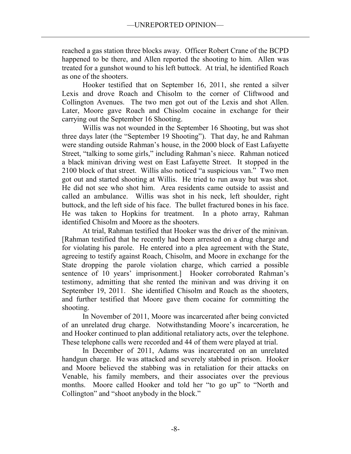reached a gas station three blocks away. Officer Robert Crane of the BCPD happened to be there, and Allen reported the shooting to him. Allen was treated for a gunshot wound to his left buttock. At trial, he identified Roach as one of the shooters.

Hooker testified that on September 16, 2011, she rented a silver Lexis and drove Roach and Chisolm to the corner of Cliftwood and Collington Avenues. The two men got out of the Lexis and shot Allen. Later, Moore gave Roach and Chisolm cocaine in exchange for their carrying out the September 16 Shooting.

Willis was not wounded in the September 16 Shooting, but was shot three days later (the "September 19 Shooting"). That day, he and Rahman were standing outside Rahman's house, in the 2000 block of East Lafayette Street, "talking to some girls," including Rahman's niece. Rahman noticed a black minivan driving west on East Lafayette Street. It stopped in the 2100 block of that street. Willis also noticed "a suspicious van." Two men got out and started shooting at Willis. He tried to run away but was shot. He did not see who shot him. Area residents came outside to assist and called an ambulance. Willis was shot in his neck, left shoulder, right buttock, and the left side of his face. The bullet fractured bones in his face. He was taken to Hopkins for treatment. In a photo array, Rahman identified Chisolm and Moore as the shooters.

At trial, Rahman testified that Hooker was the driver of the minivan. [Rahman testified that he recently had been arrested on a drug charge and for violating his parole. He entered into a plea agreement with the State, agreeing to testify against Roach, Chisolm, and Moore in exchange for the State dropping the parole violation charge, which carried a possible sentence of 10 years' imprisonment.] Hooker corroborated Rahman's testimony, admitting that she rented the minivan and was driving it on September 19, 2011. She identified Chisolm and Roach as the shooters, and further testified that Moore gave them cocaine for committing the shooting.

In November of 2011, Moore was incarcerated after being convicted of an unrelated drug charge. Notwithstanding Moore's incarceration, he and Hooker continued to plan additional retaliatory acts, over the telephone. These telephone calls were recorded and 44 of them were played at trial.

In December of 2011, Adams was incarcerated on an unrelated handgun charge. He was attacked and severely stabbed in prison. Hooker and Moore believed the stabbing was in retaliation for their attacks on Venable, his family members, and their associates over the previous months. Moore called Hooker and told her "to go up" to "North and Collington" and "shoot anybody in the block."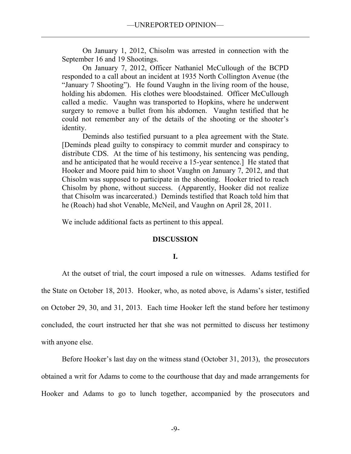On January 1, 2012, Chisolm was arrested in connection with the September 16 and 19 Shootings.

On January 7, 2012, Officer Nathaniel McCullough of the BCPD responded to a call about an incident at 1935 North Collington Avenue (the "January 7 Shooting"). He found Vaughn in the living room of the house, holding his abdomen. His clothes were bloodstained. Officer McCullough called a medic. Vaughn was transported to Hopkins, where he underwent surgery to remove a bullet from his abdomen. Vaughn testified that he could not remember any of the details of the shooting or the shooter's identity.

Deminds also testified pursuant to a plea agreement with the State. [Deminds plead guilty to conspiracy to commit murder and conspiracy to distribute CDS. At the time of his testimony, his sentencing was pending, and he anticipated that he would receive a 15-year sentence.] He stated that Hooker and Moore paid him to shoot Vaughn on January 7, 2012, and that Chisolm was supposed to participate in the shooting. Hooker tried to reach Chisolm by phone, without success. (Apparently, Hooker did not realize that Chisolm was incarcerated.) Deminds testified that Roach told him that he (Roach) had shot Venable, McNeil, and Vaughn on April 28, 2011.

We include additional facts as pertinent to this appeal.

# **DISCUSSION**

### **I.**

 At the outset of trial, the court imposed a rule on witnesses. Adams testified for the State on October 18, 2013. Hooker, who, as noted above, is Adams's sister, testified on October 29, 30, and 31, 2013. Each time Hooker left the stand before her testimony concluded, the court instructed her that she was not permitted to discuss her testimony with anyone else.

 Before Hooker's last day on the witness stand (October 31, 2013), the prosecutors obtained a writ for Adams to come to the courthouse that day and made arrangements for Hooker and Adams to go to lunch together, accompanied by the prosecutors and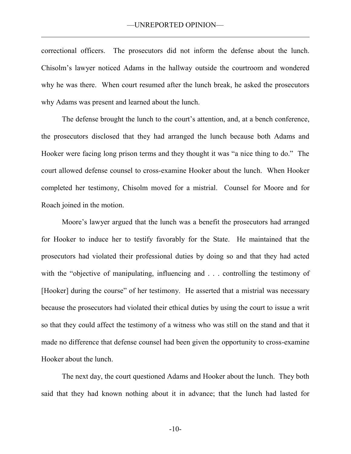correctional officers. The prosecutors did not inform the defense about the lunch. Chisolm's lawyer noticed Adams in the hallway outside the courtroom and wondered why he was there. When court resumed after the lunch break, he asked the prosecutors why Adams was present and learned about the lunch.

 The defense brought the lunch to the court's attention, and, at a bench conference, the prosecutors disclosed that they had arranged the lunch because both Adams and Hooker were facing long prison terms and they thought it was "a nice thing to do." The court allowed defense counsel to cross-examine Hooker about the lunch. When Hooker completed her testimony, Chisolm moved for a mistrial. Counsel for Moore and for Roach joined in the motion.

Moore's lawyer argued that the lunch was a benefit the prosecutors had arranged for Hooker to induce her to testify favorably for the State. He maintained that the prosecutors had violated their professional duties by doing so and that they had acted with the "objective of manipulating, influencing and . . . controlling the testimony of [Hooker] during the course" of her testimony. He asserted that a mistrial was necessary because the prosecutors had violated their ethical duties by using the court to issue a writ so that they could affect the testimony of a witness who was still on the stand and that it made no difference that defense counsel had been given the opportunity to cross-examine Hooker about the lunch.

 The next day, the court questioned Adams and Hooker about the lunch. They both said that they had known nothing about it in advance; that the lunch had lasted for

-10-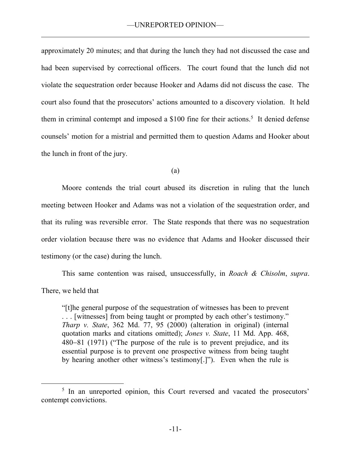approximately 20 minutes; and that during the lunch they had not discussed the case and had been supervised by correctional officers. The court found that the lunch did not violate the sequestration order because Hooker and Adams did not discuss the case. The court also found that the prosecutors' actions amounted to a discovery violation. It held them in criminal contempt and imposed a \$100 fine for their actions.<sup>5</sup> It denied defense counsels' motion for a mistrial and permitted them to question Adams and Hooker about the lunch in front of the jury.

(a)

Moore contends the trial court abused its discretion in ruling that the lunch meeting between Hooker and Adams was not a violation of the sequestration order, and that its ruling was reversible error. The State responds that there was no sequestration order violation because there was no evidence that Adams and Hooker discussed their testimony (or the case) during the lunch.

This same contention was raised, unsuccessfully, in *Roach & Chisolm*, *supra*. There, we held that

"[t]he general purpose of the sequestration of witnesses has been to prevent . . . [witnesses] from being taught or prompted by each other's testimony." *Tharp v. State*, 362 Md. 77, 95 (2000) (alteration in original) (internal quotation marks and citations omitted); *Jones v. State*, 11 Md. App. 468, 480–81 (1971) ("The purpose of the rule is to prevent prejudice, and its essential purpose is to prevent one prospective witness from being taught by hearing another other witness's testimony[.]"). Even when the rule is

 $\overline{a}$ 

<sup>&</sup>lt;sup>5</sup> In an unreported opinion, this Court reversed and vacated the prosecutors' contempt convictions.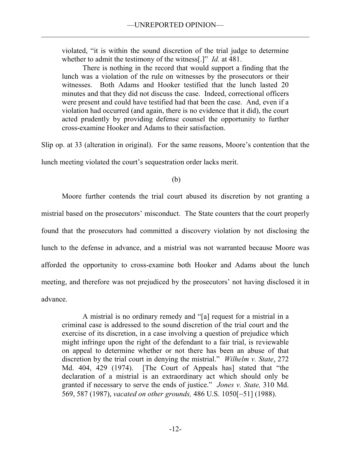violated, "it is within the sound discretion of the trial judge to determine whether to admit the testimony of the witness[.]" *Id.* at 481.

There is nothing in the record that would support a finding that the lunch was a violation of the rule on witnesses by the prosecutors or their witnesses. Both Adams and Hooker testified that the lunch lasted 20 minutes and that they did not discuss the case. Indeed, correctional officers were present and could have testified had that been the case. And, even if a violation had occurred (and again, there is no evidence that it did), the court acted prudently by providing defense counsel the opportunity to further cross-examine Hooker and Adams to their satisfaction.

Slip op. at 33 (alteration in original). For the same reasons, Moore's contention that the

lunch meeting violated the court's sequestration order lacks merit.

(b)

Moore further contends the trial court abused its discretion by not granting a mistrial based on the prosecutors' misconduct. The State counters that the court properly found that the prosecutors had committed a discovery violation by not disclosing the lunch to the defense in advance, and a mistrial was not warranted because Moore was afforded the opportunity to cross-examine both Hooker and Adams about the lunch meeting, and therefore was not prejudiced by the prosecutors' not having disclosed it in advance.

A mistrial is no ordinary remedy and "[a] request for a mistrial in a criminal case is addressed to the sound discretion of the trial court and the exercise of its discretion, in a case involving a question of prejudice which might infringe upon the right of the defendant to a fair trial, is reviewable on appeal to determine whether or not there has been an abuse of that discretion by the trial court in denying the mistrial." *Wilhelm v. State*, 272 Md. 404, 429 (1974). [The Court of Appeals has] stated that "the declaration of a mistrial is an extraordinary act which should only be granted if necessary to serve the ends of justice." *Jones v. State,* 310 Md. 569, 587 (1987), *vacated on other grounds*, 486 U.S. 1050[-51] (1988).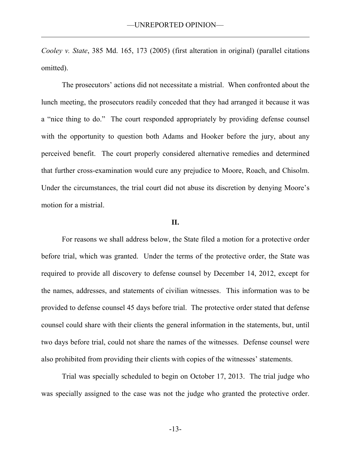*Cooley v. State*, 385 Md. 165, 173 (2005) (first alteration in original) (parallel citations omitted).

 The prosecutors' actions did not necessitate a mistrial. When confronted about the lunch meeting, the prosecutors readily conceded that they had arranged it because it was a "nice thing to do." The court responded appropriately by providing defense counsel with the opportunity to question both Adams and Hooker before the jury, about any perceived benefit. The court properly considered alternative remedies and determined that further cross-examination would cure any prejudice to Moore, Roach, and Chisolm. Under the circumstances, the trial court did not abuse its discretion by denying Moore's motion for a mistrial.

### **II.**

For reasons we shall address below, the State filed a motion for a protective order before trial, which was granted. Under the terms of the protective order, the State was required to provide all discovery to defense counsel by December 14, 2012, except for the names, addresses, and statements of civilian witnesses. This information was to be provided to defense counsel 45 days before trial. The protective order stated that defense counsel could share with their clients the general information in the statements, but, until two days before trial, could not share the names of the witnesses. Defense counsel were also prohibited from providing their clients with copies of the witnesses' statements.

 Trial was specially scheduled to begin on October 17, 2013. The trial judge who was specially assigned to the case was not the judge who granted the protective order.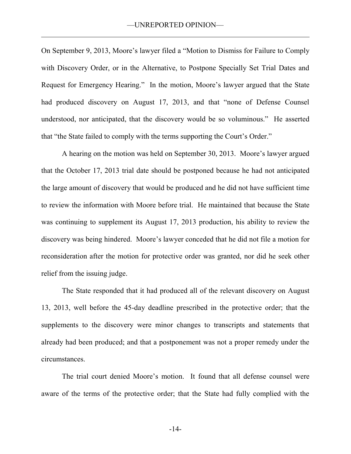On September 9, 2013, Moore's lawyer filed a "Motion to Dismiss for Failure to Comply with Discovery Order, or in the Alternative, to Postpone Specially Set Trial Dates and Request for Emergency Hearing." In the motion, Moore's lawyer argued that the State had produced discovery on August 17, 2013, and that "none of Defense Counsel understood, nor anticipated, that the discovery would be so voluminous." He asserted that "the State failed to comply with the terms supporting the Court's Order."

A hearing on the motion was held on September 30, 2013. Moore's lawyer argued that the October 17, 2013 trial date should be postponed because he had not anticipated the large amount of discovery that would be produced and he did not have sufficient time to review the information with Moore before trial. He maintained that because the State was continuing to supplement its August 17, 2013 production, his ability to review the discovery was being hindered. Moore's lawyer conceded that he did not file a motion for reconsideration after the motion for protective order was granted, nor did he seek other relief from the issuing judge.

 The State responded that it had produced all of the relevant discovery on August 13, 2013, well before the 45-day deadline prescribed in the protective order; that the supplements to the discovery were minor changes to transcripts and statements that already had been produced; and that a postponement was not a proper remedy under the circumstances.

The trial court denied Moore's motion. It found that all defense counsel were aware of the terms of the protective order; that the State had fully complied with the

-14-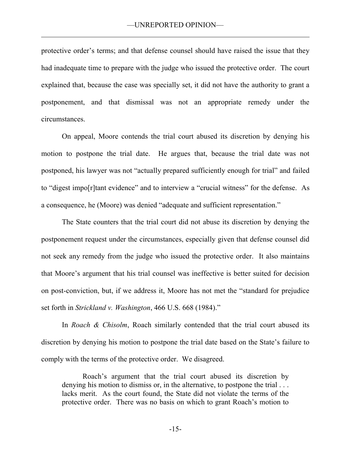protective order's terms; and that defense counsel should have raised the issue that they had inadequate time to prepare with the judge who issued the protective order. The court explained that, because the case was specially set, it did not have the authority to grant a postponement, and that dismissal was not an appropriate remedy under the circumstances.

On appeal, Moore contends the trial court abused its discretion by denying his motion to postpone the trial date. He argues that, because the trial date was not postponed, his lawyer was not "actually prepared sufficiently enough for trial" and failed to "digest impo[r]tant evidence" and to interview a "crucial witness" for the defense. As a consequence, he (Moore) was denied "adequate and sufficient representation."

 The State counters that the trial court did not abuse its discretion by denying the postponement request under the circumstances, especially given that defense counsel did not seek any remedy from the judge who issued the protective order. It also maintains that Moore's argument that his trial counsel was ineffective is better suited for decision on post-conviction, but, if we address it, Moore has not met the "standard for prejudice set forth in *Strickland v. Washington*, 466 U.S. 668 (1984)."

In *Roach & Chisolm*, Roach similarly contended that the trial court abused its discretion by denying his motion to postpone the trial date based on the State's failure to comply with the terms of the protective order. We disagreed.

Roach's argument that the trial court abused its discretion by denying his motion to dismiss or, in the alternative, to postpone the trial ... lacks merit. As the court found, the State did not violate the terms of the protective order. There was no basis on which to grant Roach's motion to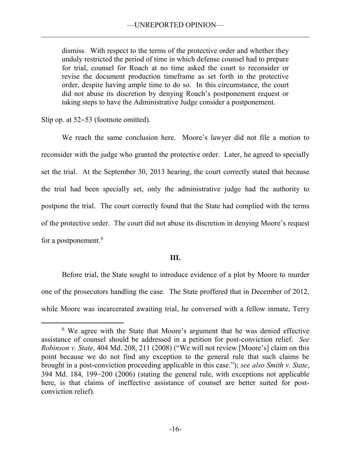dismiss. With respect to the terms of the protective order and whether they unduly restricted the period of time in which defense counsel had to prepare for trial, counsel for Roach at no time asked the court to reconsider or revise the document production timeframe as set forth in the protective order, despite having ample time to do so. In this circumstance, the court did not abuse its discretion by denying Roach's postponement request or taking steps to have the Administrative Judge consider a postponement.

Slip op. at  $52-53$  (footnote omitted).

 $\overline{a}$ 

We reach the same conclusion here. Moore's lawyer did not file a motion to reconsider with the judge who granted the protective order. Later, he agreed to specially set the trial. At the September 30, 2013 hearing, the court correctly stated that because the trial had been specially set, only the administrative judge had the authority to postpone the trial. The court correctly found that the State had complied with the terms of the protective order. The court did not abuse its discretion in denying Moore's request for a postponement.<sup>6</sup>

# **III.**

Before trial, the State sought to introduce evidence of a plot by Moore to murder one of the prosecutors handling the case. The State proffered that in December of 2012, while Moore was incarcerated awaiting trial, he conversed with a fellow inmate, Terry

<sup>6</sup> We agree with the State that Moore's argument that he was denied effective assistance of counsel should be addressed in a petition for post-conviction relief. *See Robinson v. State*, 404 Md. 208, 211 (2008) ("We will not review [Moore's] claim on this point because we do not find any exception to the general rule that such claims be brought in a post-conviction proceeding applicable in this case."); *see also Smith v. State*,  $394$  Md.  $184$ ,  $199-200$  ( $2006$ ) (stating the general rule, with exceptions not applicable here, is that claims of ineffective assistance of counsel are better suited for postconviction relief).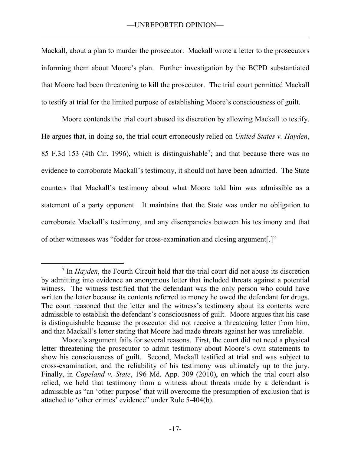Mackall, about a plan to murder the prosecutor. Mackall wrote a letter to the prosecutors informing them about Moore's plan. Further investigation by the BCPD substantiated that Moore had been threatening to kill the prosecutor. The trial court permitted Mackall to testify at trial for the limited purpose of establishing Moore's consciousness of guilt.

Moore contends the trial court abused its discretion by allowing Mackall to testify. He argues that, in doing so, the trial court erroneously relied on *United States v. Hayden*, 85 F.3d 153 (4th Cir. 1996), which is distinguishable<sup>7</sup>; and that because there was no evidence to corroborate Mackall's testimony, it should not have been admitted. The State counters that Mackall's testimony about what Moore told him was admissible as a statement of a party opponent. It maintains that the State was under no obligation to corroborate Mackall's testimony, and any discrepancies between his testimony and that of other witnesses was "fodder for cross-examination and closing argument[.]"

 $\overline{a}$ 

<sup>7</sup> In *Hayden*, the Fourth Circuit held that the trial court did not abuse its discretion by admitting into evidence an anonymous letter that included threats against a potential witness. The witness testified that the defendant was the only person who could have written the letter because its contents referred to money he owed the defendant for drugs. The court reasoned that the letter and the witness's testimony about its contents were admissible to establish the defendant's consciousness of guilt. Moore argues that his case is distinguishable because the prosecutor did not receive a threatening letter from him, and that Mackall's letter stating that Moore had made threats against her was unreliable.

Moore's argument fails for several reasons. First, the court did not need a physical letter threatening the prosecutor to admit testimony about Moore's own statements to show his consciousness of guilt. Second, Mackall testified at trial and was subject to cross-examination, and the reliability of his testimony was ultimately up to the jury. Finally, in *Copeland v. State*, 196 Md. App. 309 (2010), on which the trial court also relied, we held that testimony from a witness about threats made by a defendant is admissible as "an 'other purpose' that will overcome the presumption of exclusion that is attached to 'other crimes' evidence" under Rule 5-404(b).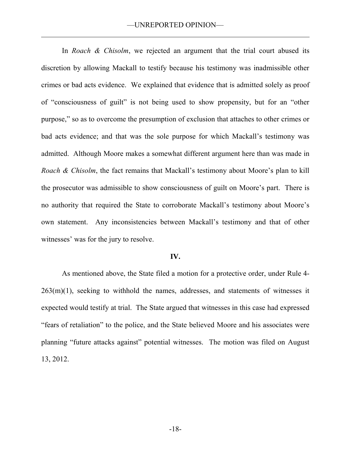In *Roach & Chisolm*, we rejected an argument that the trial court abused its discretion by allowing Mackall to testify because his testimony was inadmissible other crimes or bad acts evidence. We explained that evidence that is admitted solely as proof of "consciousness of guilt" is not being used to show propensity, but for an "other purpose," so as to overcome the presumption of exclusion that attaches to other crimes or bad acts evidence; and that was the sole purpose for which Mackall's testimony was admitted. Although Moore makes a somewhat different argument here than was made in *Roach & Chisolm*, the fact remains that Mackall's testimony about Moore's plan to kill the prosecutor was admissible to show consciousness of guilt on Moore's part. There is no authority that required the State to corroborate Mackall's testimony about Moore's own statement. Any inconsistencies between Mackall's testimony and that of other witnesses' was for the jury to resolve.

### **IV.**

As mentioned above, the State filed a motion for a protective order, under Rule 4-  $263(m)(1)$ , seeking to withhold the names, addresses, and statements of witnesses it expected would testify at trial. The State argued that witnesses in this case had expressed "fears of retaliation" to the police, and the State believed Moore and his associates were planning "future attacks against" potential witnesses. The motion was filed on August 13, 2012.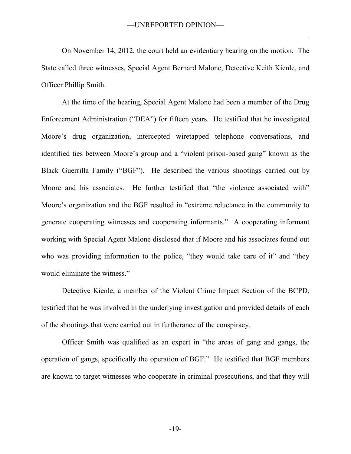On November 14, 2012, the court held an evidentiary hearing on the motion. The State called three witnesses, Special Agent Bernard Malone, Detective Keith Kienle, and Officer Phillip Smith.

At the time of the hearing, Special Agent Malone had been a member of the Drug Enforcement Administration ("DEA") for fifteen years. He testified that he investigated Moore's drug organization, intercepted wiretapped telephone conversations, and identified ties between Moore's group and a "violent prison-based gang" known as the Black Guerrilla Family ("BGF"). He described the various shootings carried out by Moore and his associates. He further testified that "the violence associated with" Moore's organization and the BGF resulted in "extreme reluctance in the community to generate cooperating witnesses and cooperating informants." A cooperating informant working with Special Agent Malone disclosed that if Moore and his associates found out who was providing information to the police, "they would take care of it" and "they would eliminate the witness."

Detective Kienle, a member of the Violent Crime Impact Section of the BCPD, testified that he was involved in the underlying investigation and provided details of each of the shootings that were carried out in furtherance of the conspiracy.

Officer Smith was qualified as an expert in "the areas of gang and gangs, the operation of gangs, specifically the operation of BGF." He testified that BGF members are known to target witnesses who cooperate in criminal prosecutions, and that they will

-19-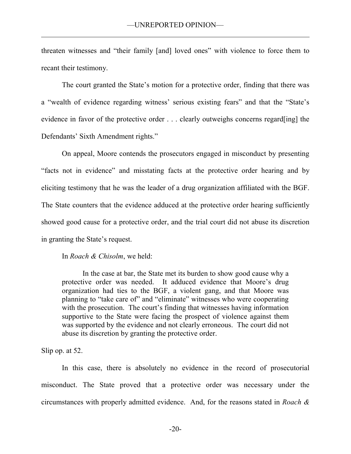threaten witnesses and "their family [and] loved ones" with violence to force them to recant their testimony.

The court granted the State's motion for a protective order, finding that there was a "wealth of evidence regarding witness' serious existing fears" and that the "State's evidence in favor of the protective order . . . clearly outweighs concerns regard[ing] the Defendants' Sixth Amendment rights."

On appeal, Moore contends the prosecutors engaged in misconduct by presenting "facts not in evidence" and misstating facts at the protective order hearing and by eliciting testimony that he was the leader of a drug organization affiliated with the BGF. The State counters that the evidence adduced at the protective order hearing sufficiently showed good cause for a protective order, and the trial court did not abuse its discretion in granting the State's request.

In *Roach & Chisolm*, we held:

In the case at bar, the State met its burden to show good cause why a protective order was needed. It adduced evidence that Moore's drug organization had ties to the BGF, a violent gang, and that Moore was planning to "take care of" and "eliminate" witnesses who were cooperating with the prosecution. The court's finding that witnesses having information supportive to the State were facing the prospect of violence against them was supported by the evidence and not clearly erroneous. The court did not abuse its discretion by granting the protective order.

Slip op. at 52.

In this case, there is absolutely no evidence in the record of prosecutorial misconduct. The State proved that a protective order was necessary under the circumstances with properly admitted evidence. And, for the reasons stated in *Roach &*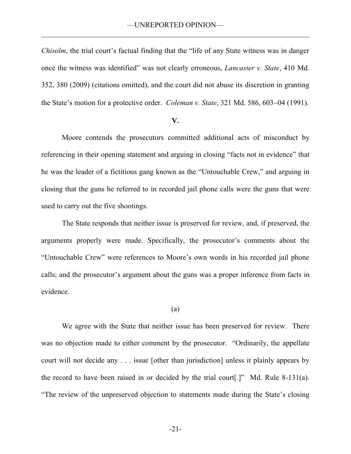*Chisolm*, the trial court's factual finding that the "life of any State witness was in danger once the witness was identified" was not clearly erroneous, *Lancaster v. State*, 410 Md. 352, 380 (2009) (citations omitted), and the court did not abuse its discretion in granting the State's motion for a protective order. *Coleman v. State*, 321 Md. 586, 603–04 (1991).

#### **V.**

Moore contends the prosecutors committed additional acts of misconduct by referencing in their opening statement and arguing in closing "facts not in evidence" that he was the leader of a fictitious gang known as the "Untouchable Crew," and arguing in closing that the guns he referred to in recorded jail phone calls were the guns that were used to carry out the five shootings.

The State responds that neither issue is preserved for review, and, if preserved, the arguments properly were made. Specifically, the prosecutor's comments about the "Untouchable Crew" were references to Moore's own words in his recorded jail phone calls; and the prosecutor's argument about the guns was a proper inference from facts in evidence.

### (a)

 We agree with the State that neither issue has been preserved for review. There was no objection made to either comment by the prosecutor. "Ordinarily, the appellate court will not decide any . . . issue [other than jurisdiction] unless it plainly appears by the record to have been raised in or decided by the trial court[.]" Md. Rule 8-131(a). "The review of the unpreserved objection to statements made during the State's closing

-21-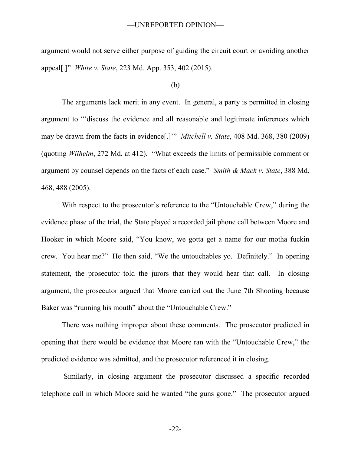argument would not serve either purpose of guiding the circuit court or avoiding another appeal[.]" *White v. State*, 223 Md. App. 353, 402 (2015).

### (b)

 The arguments lack merit in any event. In general, a party is permitted in closing argument to "'discuss the evidence and all reasonable and legitimate inferences which may be drawn from the facts in evidence[.]'" *Mitchell v. State*, 408 Md. 368, 380 (2009) (quoting *Wilhelm*, 272 Md. at 412). "What exceeds the limits of permissible comment or argument by counsel depends on the facts of each case." *Smith & Mack v. State*, 388 Md. 468, 488 (2005).

With respect to the prosecutor's reference to the "Untouchable Crew," during the evidence phase of the trial, the State played a recorded jail phone call between Moore and Hooker in which Moore said, "You know, we gotta get a name for our motha fuckin crew. You hear me?" He then said, "We the untouchables yo. Definitely." In opening statement, the prosecutor told the jurors that they would hear that call. In closing argument, the prosecutor argued that Moore carried out the June 7th Shooting because Baker was "running his mouth" about the "Untouchable Crew."

There was nothing improper about these comments. The prosecutor predicted in opening that there would be evidence that Moore ran with the "Untouchable Crew," the predicted evidence was admitted, and the prosecutor referenced it in closing.

Similarly, in closing argument the prosecutor discussed a specific recorded telephone call in which Moore said he wanted "the guns gone." The prosecutor argued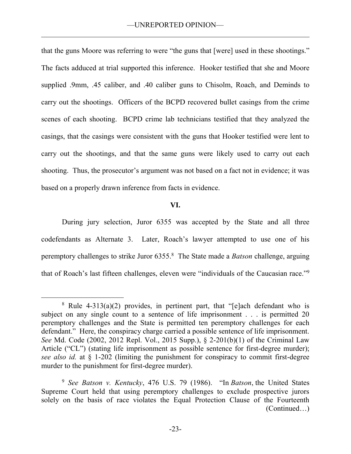that the guns Moore was referring to were "the guns that [were] used in these shootings." The facts adduced at trial supported this inference. Hooker testified that she and Moore supplied .9mm, .45 caliber, and .40 caliber guns to Chisolm, Roach, and Deminds to carry out the shootings. Officers of the BCPD recovered bullet casings from the crime scenes of each shooting. BCPD crime lab technicians testified that they analyzed the casings, that the casings were consistent with the guns that Hooker testified were lent to carry out the shootings, and that the same guns were likely used to carry out each shooting. Thus, the prosecutor's argument was not based on a fact not in evidence; it was based on a properly drawn inference from facts in evidence.

### **VI.**

During jury selection, Juror 6355 was accepted by the State and all three codefendants as Alternate 3. Later, Roach's lawyer attempted to use one of his peremptory challenges to strike Juror 6355.<sup>8</sup> The State made a *Batson* challenge, arguing that of Roach's last fifteen challenges, eleven were "individuals of the Caucasian race."<sup>9</sup>

 $\overline{a}$ 

<sup>&</sup>lt;sup>8</sup> Rule 4-313(a)(2) provides, in pertinent part, that "[e]ach defendant who is subject on any single count to a sentence of life imprisonment . . . is permitted 20 peremptory challenges and the State is permitted ten peremptory challenges for each defendant." Here, the conspiracy charge carried a possible sentence of life imprisonment. *See* Md. Code (2002, 2012 Repl. Vol., 2015 Supp.), § 2-201(b)(1) of the Criminal Law Article ("CL") (stating life imprisonment as possible sentence for first-degree murder); *see also id.* at § 1-202 (limiting the punishment for conspiracy to commit first-degree murder to the punishment for first-degree murder).

<sup>9</sup> *See Batson v. Kentucky*, 476 U.S. 79 (1986). "In *Batson*, the United States Supreme Court held that using peremptory challenges to exclude prospective jurors solely on the basis of race violates the Equal Protection Clause of the Fourteenth (Continued…)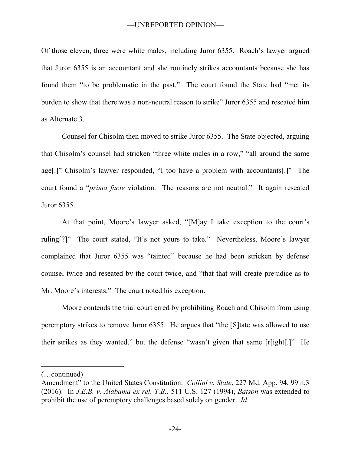Of those eleven, three were white males, including Juror 6355. Roach's lawyer argued that Juror 6355 is an accountant and she routinely strikes accountants because she has found them "to be problematic in the past." The court found the State had "met its burden to show that there was a non-neutral reason to strike" Juror 6355 and reseated him as Alternate 3.

Counsel for Chisolm then moved to strike Juror 6355. The State objected, arguing that Chisolm's counsel had stricken "three white males in a row," "all around the same age[.]" Chisolm's lawyer responded, "I too have a problem with accountants[.]" The court found a "*prima facie* violation. The reasons are not neutral." It again reseated Juror 6355.

At that point, Moore's lawyer asked, "[M]ay I take exception to the court's ruling[?]" The court stated, "It's not yours to take." Nevertheless, Moore's lawyer complained that Juror 6355 was "tainted" because he had been stricken by defense counsel twice and reseated by the court twice, and "that that will create prejudice as to Mr. Moore's interests." The court noted his exception.

Moore contends the trial court erred by prohibiting Roach and Chisolm from using peremptory strikes to remove Juror 6355. He argues that "the [S]tate was allowed to use their strikes as they wanted," but the defense "wasn't given that same [r]ight[.]" He

 $\overline{a}$ 

<sup>(…</sup>continued)

Amendment" to the United States Constitution. *Collini v. State*, 227 Md. App. 94, 99 n.3 (2016). In *J.E.B. v. Alabama ex rel. T.B.*, 511 U.S. 127 (1994), *Batson* was extended to prohibit the use of peremptory challenges based solely on gender. *Id.*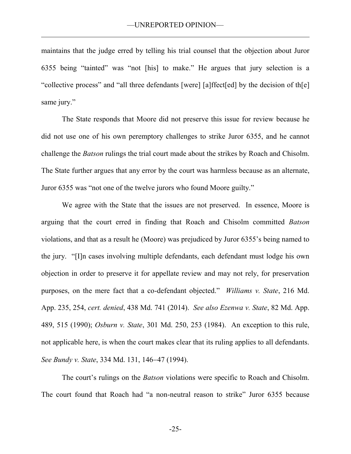maintains that the judge erred by telling his trial counsel that the objection about Juror 6355 being "tainted" was "not [his] to make." He argues that jury selection is a "collective process" and "all three defendants [were] [a]ffect[ed] by the decision of th[e] same jury."

The State responds that Moore did not preserve this issue for review because he did not use one of his own peremptory challenges to strike Juror 6355, and he cannot challenge the *Batson* rulings the trial court made about the strikes by Roach and Chisolm. The State further argues that any error by the court was harmless because as an alternate, Juror 6355 was "not one of the twelve jurors who found Moore guilty."

We agree with the State that the issues are not preserved. In essence, Moore is arguing that the court erred in finding that Roach and Chisolm committed *Batson* violations, and that as a result he (Moore) was prejudiced by Juror 6355's being named to the jury. "[I]n cases involving multiple defendants, each defendant must lodge his own objection in order to preserve it for appellate review and may not rely, for preservation purposes, on the mere fact that a co-defendant objected." *Williams v. State*, 216 Md. App. 235, 254, *cert. denied*, 438 Md. 741 (2014). *See also Ezenwa v. State*, 82 Md. App. 489, 515 (1990); *Osburn v. State*, 301 Md. 250, 253 (1984). An exception to this rule, not applicable here, is when the court makes clear that its ruling applies to all defendants. *See Bundy v. State, 334 Md. 131, 146-47 (1994).* 

The court's rulings on the *Batson* violations were specific to Roach and Chisolm. The court found that Roach had "a non-neutral reason to strike" Juror 6355 because

-25-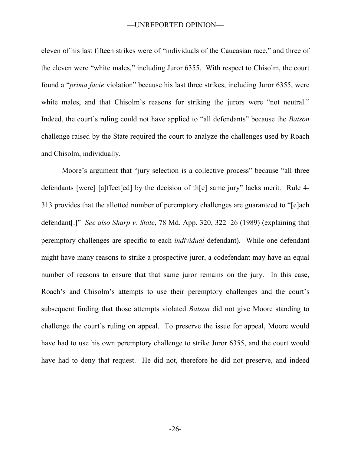eleven of his last fifteen strikes were of "individuals of the Caucasian race," and three of the eleven were "white males," including Juror 6355. With respect to Chisolm, the court found a "*prima facie* violation" because his last three strikes, including Juror 6355, were white males, and that Chisolm's reasons for striking the jurors were "not neutral." Indeed, the court's ruling could not have applied to "all defendants" because the *Batson* challenge raised by the State required the court to analyze the challenges used by Roach and Chisolm, individually.

Moore's argument that "jury selection is a collective process" because "all three defendants [were] [a]ffect[ed] by the decision of th[e] same jury" lacks merit. Rule 4- 313 provides that the allotted number of peremptory challenges are guaranteed to "[e]ach defendant[.]" *See also Sharp v. State*, 78 Md. App. 320, 322–26 (1989) (explaining that peremptory challenges are specific to each *individual* defendant). While one defendant might have many reasons to strike a prospective juror, a codefendant may have an equal number of reasons to ensure that that same juror remains on the jury. In this case, Roach's and Chisolm's attempts to use their peremptory challenges and the court's subsequent finding that those attempts violated *Batson* did not give Moore standing to challenge the court's ruling on appeal. To preserve the issue for appeal, Moore would have had to use his own peremptory challenge to strike Juror 6355, and the court would have had to deny that request. He did not, therefore he did not preserve, and indeed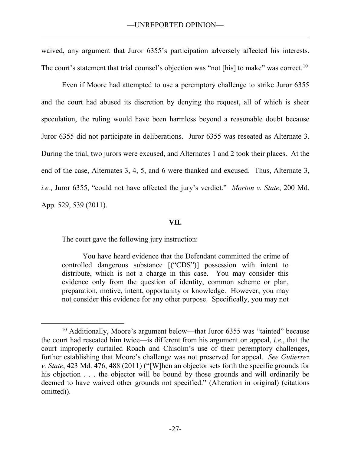waived, any argument that Juror 6355's participation adversely affected his interests. The court's statement that trial counsel's objection was "not [his] to make" was correct.<sup>10</sup>

Even if Moore had attempted to use a peremptory challenge to strike Juror 6355 and the court had abused its discretion by denying the request, all of which is sheer speculation, the ruling would have been harmless beyond a reasonable doubt because Juror 6355 did not participate in deliberations. Juror 6355 was reseated as Alternate 3. During the trial, two jurors were excused, and Alternates 1 and 2 took their places. At the end of the case, Alternates 3, 4, 5, and 6 were thanked and excused. Thus, Alternate 3, *i.e.*, Juror 6355, "could not have affected the jury's verdict." *Morton v. State*, 200 Md. App. 529, 539 (2011).

# **VII.**

The court gave the following jury instruction:

 $\overline{a}$ 

You have heard evidence that the Defendant committed the crime of controlled dangerous substance [("CDS")] possession with intent to distribute, which is not a charge in this case. You may consider this evidence only from the question of identity, common scheme or plan, preparation, motive, intent, opportunity or knowledge. However, you may not consider this evidence for any other purpose. Specifically, you may not

<sup>&</sup>lt;sup>10</sup> Additionally, Moore's argument below—that Juror 6355 was "tainted" because the court had reseated him twice—is different from his argument on appeal, *i.e.*, that the court improperly curtailed Roach and Chisolm's use of their peremptory challenges, further establishing that Moore's challenge was not preserved for appeal. *See Gutierrez v. State*, 423 Md. 476, 488 (2011) ("[W]hen an objector sets forth the specific grounds for his objection . . . the objector will be bound by those grounds and will ordinarily be deemed to have waived other grounds not specified." (Alteration in original) (citations omitted)).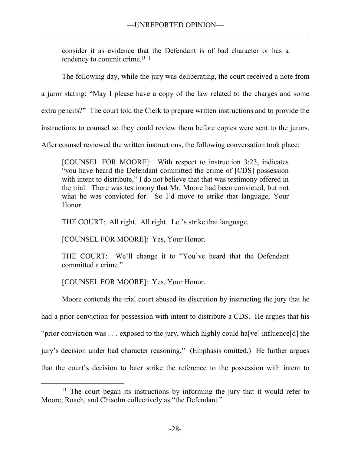consider it as evidence that the Defendant is of bad character or has a tendency to commit crime.[11]

The following day, while the jury was deliberating, the court received a note from

a juror stating: "May I please have a copy of the law related to the charges and some

extra pencils?" The court told the Clerk to prepare written instructions and to provide the

instructions to counsel so they could review them before copies were sent to the jurors.

After counsel reviewed the written instructions, the following conversation took place:

[COUNSEL FOR MOORE]: With respect to instruction 3:23, indicates "you have heard the Defendant committed the crime of [CDS] possession with intent to distribute," I do not believe that that was testimony offered in the trial. There was testimony that Mr. Moore had been convicted, but not what he was convicted for. So I'd move to strike that language, Your Honor.

THE COURT: All right. All right. Let's strike that language.

[COUNSEL FOR MOORE]: Yes, Your Honor.

THE COURT: We'll change it to "You've heard that the Defendant committed a crime."

[COUNSEL FOR MOORE]: Yes, Your Honor.

 $\overline{a}$ 

Moore contends the trial court abused its discretion by instructing the jury that he had a prior conviction for possession with intent to distribute a CDS. He argues that his "prior conviction was ... exposed to the jury, which highly could ha[ve] influence[d] the jury's decision under bad character reasoning." (Emphasis omitted.) He further argues that the court's decision to later strike the reference to the possession with intent to

<sup>&</sup>lt;sup>11</sup> The court began its instructions by informing the jury that it would refer to Moore, Roach, and Chisolm collectively as "the Defendant."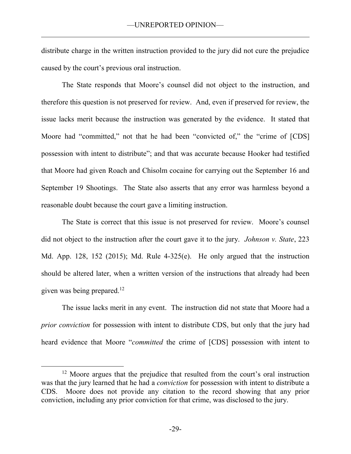distribute charge in the written instruction provided to the jury did not cure the prejudice caused by the court's previous oral instruction.

The State responds that Moore's counsel did not object to the instruction, and therefore this question is not preserved for review. And, even if preserved for review, the issue lacks merit because the instruction was generated by the evidence. It stated that Moore had "committed," not that he had been "convicted of," the "crime of [CDS] possession with intent to distribute"; and that was accurate because Hooker had testified that Moore had given Roach and Chisolm cocaine for carrying out the September 16 and September 19 Shootings. The State also asserts that any error was harmless beyond a reasonable doubt because the court gave a limiting instruction.

The State is correct that this issue is not preserved for review. Moore's counsel did not object to the instruction after the court gave it to the jury. *Johnson v. State*, 223 Md. App. 128, 152 (2015); Md. Rule 4-325(e). He only argued that the instruction should be altered later, when a written version of the instructions that already had been given was being prepared.<sup>12</sup>

The issue lacks merit in any event. The instruction did not state that Moore had a *prior conviction* for possession with intent to distribute CDS, but only that the jury had heard evidence that Moore "*committed* the crime of [CDS] possession with intent to

 $\overline{a}$ 

<sup>&</sup>lt;sup>12</sup> Moore argues that the prejudice that resulted from the court's oral instruction was that the jury learned that he had a *conviction* for possession with intent to distribute a CDS. Moore does not provide any citation to the record showing that any prior conviction, including any prior conviction for that crime, was disclosed to the jury.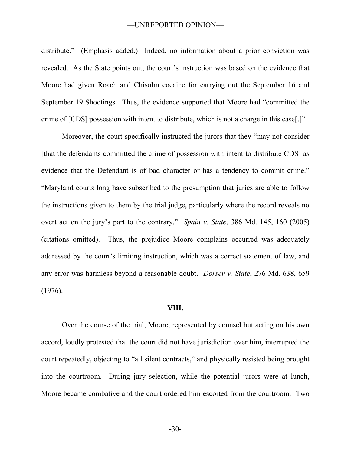distribute." (Emphasis added.) Indeed, no information about a prior conviction was revealed. As the State points out, the court's instruction was based on the evidence that Moore had given Roach and Chisolm cocaine for carrying out the September 16 and September 19 Shootings. Thus, the evidence supported that Moore had "committed the crime of [CDS] possession with intent to distribute, which is not a charge in this case[.]"

Moreover, the court specifically instructed the jurors that they "may not consider [that the defendants committed the crime of possession with intent to distribute CDS] as evidence that the Defendant is of bad character or has a tendency to commit crime." "Maryland courts long have subscribed to the presumption that juries are able to follow the instructions given to them by the trial judge, particularly where the record reveals no overt act on the jury's part to the contrary." *Spain v. State*, 386 Md. 145, 160 (2005) (citations omitted). Thus, the prejudice Moore complains occurred was adequately addressed by the court's limiting instruction, which was a correct statement of law, and any error was harmless beyond a reasonable doubt. *Dorsey v. State*, 276 Md. 638, 659 (1976).

#### **VIII.**

Over the course of the trial, Moore, represented by counsel but acting on his own accord, loudly protested that the court did not have jurisdiction over him, interrupted the court repeatedly, objecting to "all silent contracts," and physically resisted being brought into the courtroom. During jury selection, while the potential jurors were at lunch, Moore became combative and the court ordered him escorted from the courtroom. Two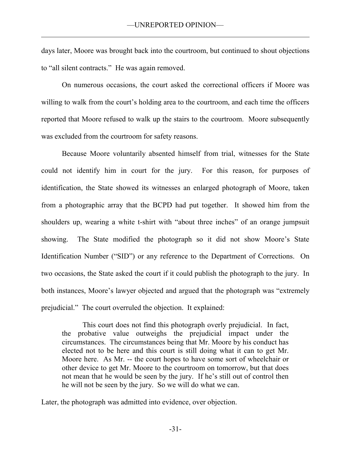days later, Moore was brought back into the courtroom, but continued to shout objections to "all silent contracts." He was again removed.

On numerous occasions, the court asked the correctional officers if Moore was willing to walk from the court's holding area to the courtroom, and each time the officers reported that Moore refused to walk up the stairs to the courtroom. Moore subsequently was excluded from the courtroom for safety reasons.

Because Moore voluntarily absented himself from trial, witnesses for the State could not identify him in court for the jury. For this reason, for purposes of identification, the State showed its witnesses an enlarged photograph of Moore, taken from a photographic array that the BCPD had put together. It showed him from the shoulders up, wearing a white t-shirt with "about three inches" of an orange jumpsuit showing. The State modified the photograph so it did not show Moore's State Identification Number ("SID") or any reference to the Department of Corrections. On two occasions, the State asked the court if it could publish the photograph to the jury. In both instances, Moore's lawyer objected and argued that the photograph was "extremely prejudicial." The court overruled the objection. It explained:

This court does not find this photograph overly prejudicial. In fact, the probative value outweighs the prejudicial impact under the circumstances. The circumstances being that Mr. Moore by his conduct has elected not to be here and this court is still doing what it can to get Mr. Moore here. As Mr. -- the court hopes to have some sort of wheelchair or other device to get Mr. Moore to the courtroom on tomorrow, but that does not mean that he would be seen by the jury. If he's still out of control then he will not be seen by the jury. So we will do what we can.

Later, the photograph was admitted into evidence, over objection.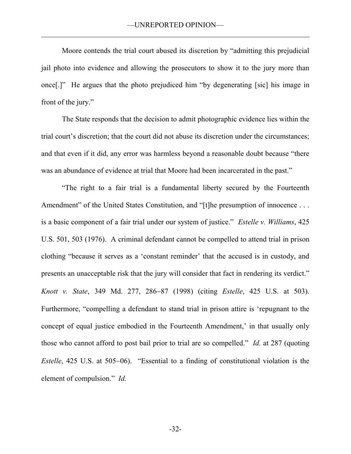Moore contends the trial court abused its discretion by "admitting this prejudicial jail photo into evidence and allowing the prosecutors to show it to the jury more than once[.]" He argues that the photo prejudiced him "by degenerating [sic] his image in front of the jury."

The State responds that the decision to admit photographic evidence lies within the trial court's discretion; that the court did not abuse its discretion under the circumstances; and that even if it did, any error was harmless beyond a reasonable doubt because "there was an abundance of evidence at trial that Moore had been incarcerated in the past."

"The right to a fair trial is a fundamental liberty secured by the Fourteenth Amendment" of the United States Constitution, and "[t]he presumption of innocence . . . is a basic component of a fair trial under our system of justice." *Estelle v. Williams*, 425 U.S. 501, 503 (1976). A criminal defendant cannot be compelled to attend trial in prison clothing "because it serves as a 'constant reminder' that the accused is in custody, and presents an unacceptable risk that the jury will consider that fact in rendering its verdict." *Knott v. State*, 349 Md. 277, 286–87 (1998) (citing *Estelle*, 425 U.S. at 503). Furthermore, "compelling a defendant to stand trial in prison attire is 'repugnant to the concept of equal justice embodied in the Fourteenth Amendment,' in that usually only those who cannot afford to post bail prior to trial are so compelled." *Id.* at 287 (quoting *Estelle*, 425 U.S. at 505–06). "Essential to a finding of constitutional violation is the element of compulsion." *Id.*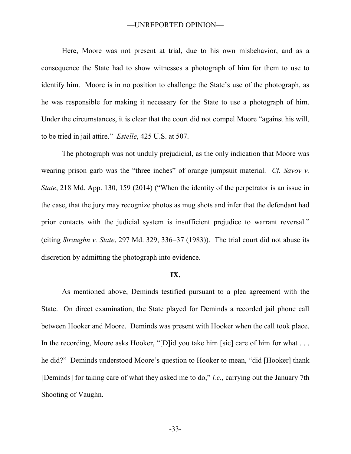Here, Moore was not present at trial, due to his own misbehavior, and as a consequence the State had to show witnesses a photograph of him for them to use to identify him. Moore is in no position to challenge the State's use of the photograph, as he was responsible for making it necessary for the State to use a photograph of him. Under the circumstances, it is clear that the court did not compel Moore "against his will, to be tried in jail attire." *Estelle*, 425 U.S. at 507.

The photograph was not unduly prejudicial, as the only indication that Moore was wearing prison garb was the "three inches" of orange jumpsuit material. *Cf. Savoy v. State*, 218 Md. App. 130, 159 (2014) ("When the identity of the perpetrator is an issue in the case, that the jury may recognize photos as mug shots and infer that the defendant had prior contacts with the judicial system is insufficient prejudice to warrant reversal." (citing *Straughn v. State*, 297 Md. 329, 336–37 (1983)). The trial court did not abuse its discretion by admitting the photograph into evidence.

#### **IX.**

As mentioned above, Deminds testified pursuant to a plea agreement with the State. On direct examination, the State played for Deminds a recorded jail phone call between Hooker and Moore. Deminds was present with Hooker when the call took place. In the recording, Moore asks Hooker, "[D]id you take him [sic] care of him for what ... he did?" Deminds understood Moore's question to Hooker to mean, "did [Hooker] thank [Deminds] for taking care of what they asked me to do," *i.e.*, carrying out the January 7th Shooting of Vaughn.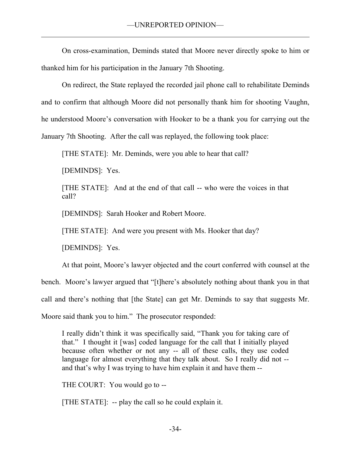On cross-examination, Deminds stated that Moore never directly spoke to him or thanked him for his participation in the January 7th Shooting.

On redirect, the State replayed the recorded jail phone call to rehabilitate Deminds and to confirm that although Moore did not personally thank him for shooting Vaughn, he understood Moore's conversation with Hooker to be a thank you for carrying out the January 7th Shooting. After the call was replayed, the following took place:

[THE STATE]: Mr. Deminds, were you able to hear that call?

[DEMINDS]: Yes.

[THE STATE]: And at the end of that call -- who were the voices in that call?

[DEMINDS]: Sarah Hooker and Robert Moore.

[THE STATE]: And were you present with Ms. Hooker that day?

[DEMINDS]: Yes.

At that point, Moore's lawyer objected and the court conferred with counsel at the bench. Moore's lawyer argued that "[t]here's absolutely nothing about thank you in that call and there's nothing that [the State] can get Mr. Deminds to say that suggests Mr. Moore said thank you to him." The prosecutor responded:

I really didn't think it was specifically said, "Thank you for taking care of that." I thought it [was] coded language for the call that I initially played because often whether or not any -- all of these calls, they use coded language for almost everything that they talk about. So I really did not - and that's why I was trying to have him explain it and have them --

THE COURT: You would go to --

[THE STATE]: -- play the call so he could explain it.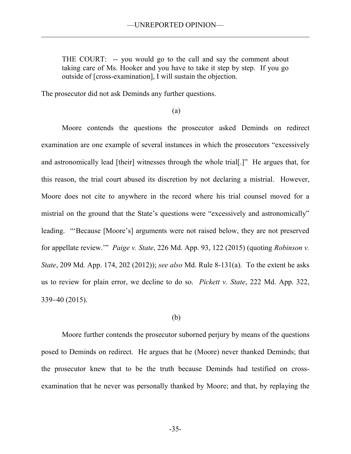THE COURT: -- you would go to the call and say the comment about taking care of Ms. Hooker and you have to take it step by step. If you go outside of [cross-examination], I will sustain the objection.

The prosecutor did not ask Deminds any further questions.

(a)

Moore contends the questions the prosecutor asked Deminds on redirect examination are one example of several instances in which the prosecutors "excessively and astronomically lead [their] witnesses through the whole trial[.]" He argues that, for this reason, the trial court abused its discretion by not declaring a mistrial. However, Moore does not cite to anywhere in the record where his trial counsel moved for a mistrial on the ground that the State's questions were "excessively and astronomically" leading. "'Because [Moore's] arguments were not raised below, they are not preserved for appellate review.'" *Paige v. State*, 226 Md. App. 93, 122 (2015) (quoting *Robinson v. State*, 209 Md. App. 174, 202 (2012)); *see also* Md. Rule 8-131(a).To the extent he asks us to review for plain error, we decline to do so. *Pickett v. State*, 222 Md. App. 322, 33940 (2015).

#### (b)

 Moore further contends the prosecutor suborned perjury by means of the questions posed to Deminds on redirect. He argues that he (Moore) never thanked Deminds; that the prosecutor knew that to be the truth because Deminds had testified on crossexamination that he never was personally thanked by Moore; and that, by replaying the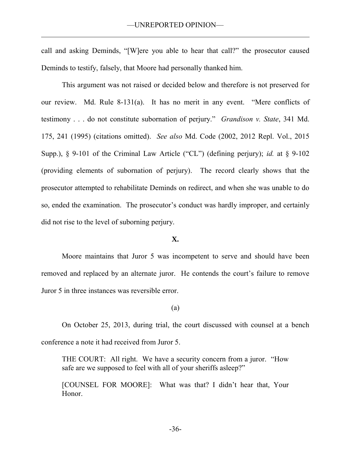call and asking Deminds, "[W]ere you able to hear that call?" the prosecutor caused Deminds to testify, falsely, that Moore had personally thanked him.

This argument was not raised or decided below and therefore is not preserved for our review. Md. Rule 8-131(a).It has no merit in any event. "Mere conflicts of testimony . . . do not constitute subornation of perjury." *Grandison v. State*, 341 Md. 175, 241 (1995) (citations omitted). *See also* Md. Code (2002, 2012 Repl. Vol., 2015 Supp.), § 9-101 of the Criminal Law Article ("CL") (defining perjury); *id.* at § 9-102 (providing elements of subornation of perjury). The record clearly shows that the prosecutor attempted to rehabilitate Deminds on redirect, and when she was unable to do so, ended the examination. The prosecutor's conduct was hardly improper, and certainly did not rise to the level of suborning perjury.

### **X.**

 Moore maintains that Juror 5 was incompetent to serve and should have been removed and replaced by an alternate juror. He contends the court's failure to remove Juror 5 in three instances was reversible error.

#### (a)

On October 25, 2013, during trial, the court discussed with counsel at a bench conference a note it had received from Juror 5.

THE COURT: All right. We have a security concern from a juror. "How safe are we supposed to feel with all of your sheriffs asleep?"

[COUNSEL FOR MOORE]: What was that? I didn't hear that, Your Honor.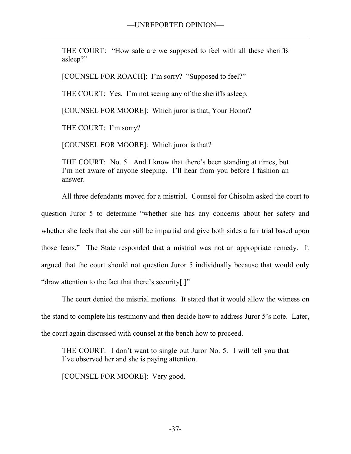THE COURT: "How safe are we supposed to feel with all these sheriffs asleep?"

[COUNSEL FOR ROACH]: I'm sorry? "Supposed to feel?"

THE COURT: Yes. I'm not seeing any of the sheriffs asleep.

[COUNSEL FOR MOORE]: Which juror is that, Your Honor?

THE COURT: I'm sorry?

[COUNSEL FOR MOORE]: Which juror is that?

THE COURT: No. 5. And I know that there's been standing at times, but I'm not aware of anyone sleeping. I'll hear from you before I fashion an answer.

 All three defendants moved for a mistrial. Counsel for Chisolm asked the court to question Juror 5 to determine "whether she has any concerns about her safety and whether she feels that she can still be impartial and give both sides a fair trial based upon those fears." The State responded that a mistrial was not an appropriate remedy. It argued that the court should not question Juror 5 individually because that would only "draw attention to the fact that there's security[.]"

The court denied the mistrial motions. It stated that it would allow the witness on the stand to complete his testimony and then decide how to address Juror 5's note. Later, the court again discussed with counsel at the bench how to proceed.

THE COURT: I don't want to single out Juror No. 5. I will tell you that I've observed her and she is paying attention.

[COUNSEL FOR MOORE]: Very good.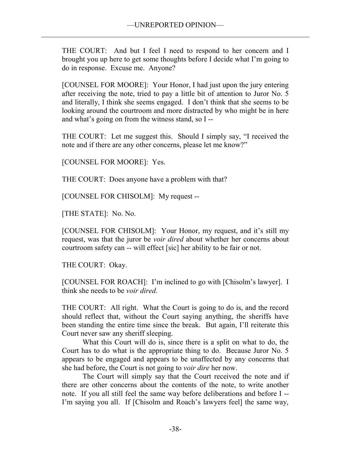THE COURT: And but I feel I need to respond to her concern and I brought you up here to get some thoughts before I decide what I'm going to do in response. Excuse me. Anyone?

[COUNSEL FOR MOORE]: Your Honor, I had just upon the jury entering after receiving the note, tried to pay a little bit of attention to Juror No. 5 and literally, I think she seems engaged. I don't think that she seems to be looking around the courtroom and more distracted by who might be in here and what's going on from the witness stand, so I --

THE COURT: Let me suggest this. Should I simply say, "I received the note and if there are any other concerns, please let me know?"

[COUNSEL FOR MOORE]: Yes.

THE COURT: Does anyone have a problem with that?

[COUNSEL FOR CHISOLM]: My request --

[THE STATE]: No. No.

[COUNSEL FOR CHISOLM]: Your Honor, my request, and it's still my request, was that the juror be *voir dired* about whether her concerns about courtroom safety can -- will effect [sic] her ability to be fair or not.

THE COURT: Okay.

[COUNSEL FOR ROACH]: I'm inclined to go with [Chisolm's lawyer]. I think she needs to be *voir dired*.

THE COURT: All right. What the Court is going to do is, and the record should reflect that, without the Court saying anything, the sheriffs have been standing the entire time since the break. But again, I'll reiterate this Court never saw any sheriff sleeping.

 What this Court will do is, since there is a split on what to do, the Court has to do what is the appropriate thing to do. Because Juror No. 5 appears to be engaged and appears to be unaffected by any concerns that she had before, the Court is not going to *voir dire* her now.

 The Court will simply say that the Court received the note and if there are other concerns about the contents of the note, to write another note. If you all still feel the same way before deliberations and before I -- I'm saying you all. If [Chisolm and Roach's lawyers feel] the same way,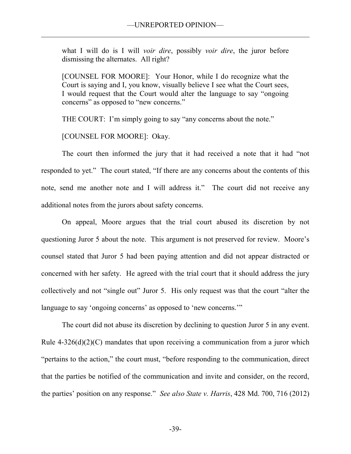what I will do is I will *voir dire*, possibly *voir dire*, the juror before dismissing the alternates. All right?

[COUNSEL FOR MOORE]: Your Honor, while I do recognize what the Court is saying and I, you know, visually believe I see what the Court sees, I would request that the Court would alter the language to say "ongoing concerns" as opposed to "new concerns."

THE COURT: I'm simply going to say "any concerns about the note."

[COUNSEL FOR MOORE]: Okay.

The court then informed the jury that it had received a note that it had "not responded to yet." The court stated, "If there are any concerns about the contents of this note, send me another note and I will address it." The court did not receive any additional notes from the jurors about safety concerns.

 On appeal, Moore argues that the trial court abused its discretion by not questioning Juror 5 about the note. This argument is not preserved for review. Moore's counsel stated that Juror 5 had been paying attention and did not appear distracted or concerned with her safety. He agreed with the trial court that it should address the jury collectively and not "single out" Juror 5. His only request was that the court "alter the language to say 'ongoing concerns' as opposed to 'new concerns.'"

 The court did not abuse its discretion by declining to question Juror 5 in any event. Rule  $4-326(d)(2)(C)$  mandates that upon receiving a communication from a juror which "pertains to the action," the court must, "before responding to the communication, direct that the parties be notified of the communication and invite and consider, on the record, the parties' position on any response." *See also State v. Harris*, 428 Md. 700, 716 (2012)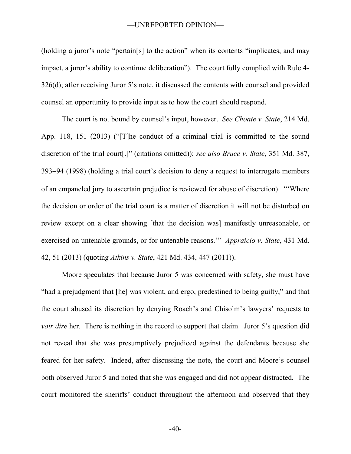(holding a juror's note "pertain[s] to the action" when its contents "implicates, and may impact, a juror's ability to continue deliberation"). The court fully complied with Rule 4- 326(d); after receiving Juror 5's note, it discussed the contents with counsel and provided counsel an opportunity to provide input as to how the court should respond.

The court is not bound by counsel's input, however. *See Choate v. State*, 214 Md. App. 118, 151 (2013) ("[T]he conduct of a criminal trial is committed to the sound discretion of the trial court[.]" (citations omitted)); *see also Bruce v. State*, 351 Md. 387, 393–94 (1998) (holding a trial court's decision to deny a request to interrogate members of an empaneled jury to ascertain prejudice is reviewed for abuse of discretion)."'Where the decision or order of the trial court is a matter of discretion it will not be disturbed on review except on a clear showing [that the decision was] manifestly unreasonable, or exercised on untenable grounds, or for untenable reasons.'" *Appraicio v. State*, 431 Md. 42, 51 (2013) (quoting *Atkins v. State*, 421 Md. 434, 447 (2011)).

Moore speculates that because Juror 5 was concerned with safety, she must have "had a prejudgment that [he] was violent, and ergo, predestined to being guilty," and that the court abused its discretion by denying Roach's and Chisolm's lawyers' requests to *voir dire* her. There is nothing in the record to support that claim. Juror 5's question did not reveal that she was presumptively prejudiced against the defendants because she feared for her safety. Indeed, after discussing the note, the court and Moore's counsel both observed Juror 5 and noted that she was engaged and did not appear distracted. The court monitored the sheriffs' conduct throughout the afternoon and observed that they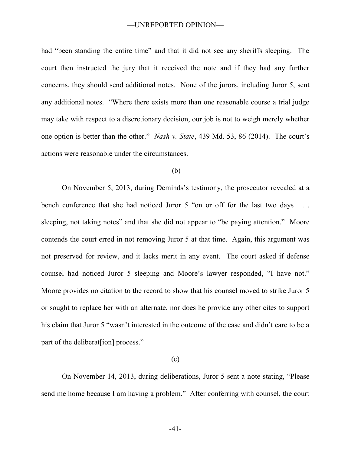had "been standing the entire time" and that it did not see any sheriffs sleeping. The court then instructed the jury that it received the note and if they had any further concerns, they should send additional notes. None of the jurors, including Juror 5, sent any additional notes. "Where there exists more than one reasonable course a trial judge may take with respect to a discretionary decision, our job is not to weigh merely whether one option is better than the other." *Nash v. State*, 439 Md. 53, 86 (2014). The court's actions were reasonable under the circumstances.

### (b)

 On November 5, 2013, during Deminds's testimony, the prosecutor revealed at a bench conference that she had noticed Juror 5 "on or off for the last two days . . . sleeping, not taking notes" and that she did not appear to "be paying attention." Moore contends the court erred in not removing Juror 5 at that time. Again, this argument was not preserved for review, and it lacks merit in any event. The court asked if defense counsel had noticed Juror 5 sleeping and Moore's lawyer responded, "I have not." Moore provides no citation to the record to show that his counsel moved to strike Juror 5 or sought to replace her with an alternate, nor does he provide any other cites to support his claim that Juror 5 "wasn't interested in the outcome of the case and didn't care to be a part of the deliberat[ion] process."

# (c)

 On November 14, 2013, during deliberations, Juror 5 sent a note stating, "Please send me home because I am having a problem." After conferring with counsel, the court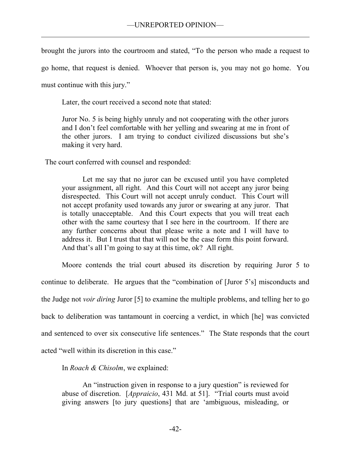brought the jurors into the courtroom and stated, "To the person who made a request to go home, that request is denied. Whoever that person is, you may not go home. You

must continue with this jury."

Later, the court received a second note that stated:

Juror No. 5 is being highly unruly and not cooperating with the other jurors and I don't feel comfortable with her yelling and swearing at me in front of the other jurors. I am trying to conduct civilized discussions but she's making it very hard.

The court conferred with counsel and responded:

Let me say that no juror can be excused until you have completed your assignment, all right. And this Court will not accept any juror being disrespected. This Court will not accept unruly conduct. This Court will not accept profanity used towards any juror or swearing at any juror. That is totally unacceptable. And this Court expects that you will treat each other with the same courtesy that I see here in the courtroom. If there are any further concerns about that please write a note and I will have to address it. But I trust that that will not be the case form this point forward. And that's all I'm going to say at this time, ok? All right.

 Moore contends the trial court abused its discretion by requiring Juror 5 to continue to deliberate. He argues that the "combination of [Juror 5's] misconducts and the Judge not *voir diring* Juror [5] to examine the multiple problems, and telling her to go back to deliberation was tantamount in coercing a verdict, in which [he] was convicted and sentenced to over six consecutive life sentences." The State responds that the court acted "well within its discretion in this case."

In *Roach & Chisolm*, we explained:

An "instruction given in response to a jury question" is reviewed for abuse of discretion. [*Appraicio*, 431 Md. at 51]. "Trial courts must avoid giving answers [to jury questions] that are 'ambiguous, misleading, or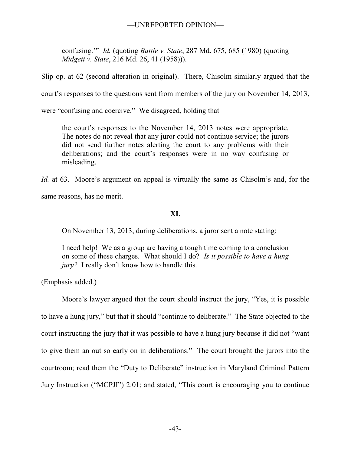confusing.'" *Id.* (quoting *Battle v. State*, 287 Md. 675, 685 (1980) (quoting *Midgett v. State*, 216 Md. 26, 41 (1958))).

Slip op. at 62 (second alteration in original). There, Chisolm similarly argued that the

court's responses to the questions sent from members of the jury on November 14, 2013,

were "confusing and coercive." We disagreed, holding that

the court's responses to the November 14, 2013 notes were appropriate. The notes do not reveal that any juror could not continue service; the jurors did not send further notes alerting the court to any problems with their deliberations; and the court's responses were in no way confusing or misleading.

*Id.* at 63. Moore's argument on appeal is virtually the same as Chisolm's and, for the same reasons, has no merit.

# **XI.**

On November 13, 2013, during deliberations, a juror sent a note stating:

I need help! We as a group are having a tough time coming to a conclusion on some of these charges. What should I do? *Is it possible to have a hung jury?* I really don't know how to handle this.

(Emphasis added.)

Moore's lawyer argued that the court should instruct the jury, "Yes, it is possible to have a hung jury," but that it should "continue to deliberate." The State objected to the court instructing the jury that it was possible to have a hung jury because it did not "want to give them an out so early on in deliberations." The court brought the jurors into the courtroom; read them the "Duty to Deliberate" instruction in Maryland Criminal Pattern Jury Instruction ("MCPJI") 2:01; and stated, "This court is encouraging you to continue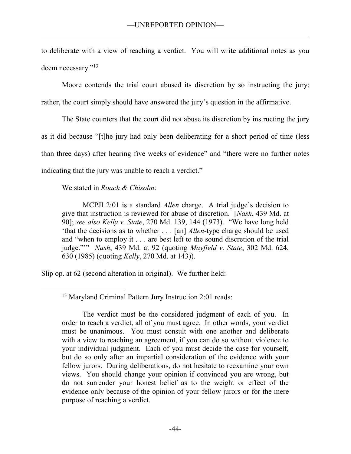to deliberate with a view of reaching a verdict. You will write additional notes as you deem necessary."<sup>13</sup>

Moore contends the trial court abused its discretion by so instructing the jury; rather, the court simply should have answered the jury's question in the affirmative.

The State counters that the court did not abuse its discretion by instructing the jury as it did because "[t]he jury had only been deliberating for a short period of time (less than three days) after hearing five weeks of evidence" and "there were no further notes indicating that the jury was unable to reach a verdict."

We stated in *Roach & Chisolm*:

 $\overline{a}$ 

MCPJI 2:01 is a standard *Allen* charge. A trial judge's decision to give that instruction is reviewed for abuse of discretion. [*Nash*, 439 Md. at 90]; *see also Kelly v. State*, 270 Md. 139, 144 (1973). "We have long held 'that the decisions as to whether . . . [an] *Allen*-type charge should be used and "when to employ it . . . are best left to the sound discretion of the trial judge."'" *Nash*, 439 Md. at 92 (quoting *Mayfield v. State*, 302 Md. 624, 630 (1985) (quoting *Kelly*, 270 Md. at 143)).

Slip op. at 62 (second alteration in original). We further held:

<sup>13</sup> Maryland Criminal Pattern Jury Instruction 2:01 reads:

The verdict must be the considered judgment of each of you. In order to reach a verdict, all of you must agree. In other words, your verdict must be unanimous. You must consult with one another and deliberate with a view to reaching an agreement, if you can do so without violence to your individual judgment. Each of you must decide the case for yourself, but do so only after an impartial consideration of the evidence with your fellow jurors. During deliberations, do not hesitate to reexamine your own views. You should change your opinion if convinced you are wrong, but do not surrender your honest belief as to the weight or effect of the evidence only because of the opinion of your fellow jurors or for the mere purpose of reaching a verdict.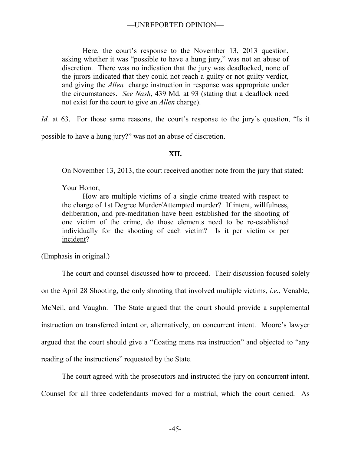Here, the court's response to the November 13, 2013 question, asking whether it was "possible to have a hung jury," was not an abuse of discretion. There was no indication that the jury was deadlocked, none of the jurors indicated that they could not reach a guilty or not guilty verdict, and giving the *Allen* charge instruction in response was appropriate under the circumstances. *See Nash*, 439 Md. at 93 (stating that a deadlock need not exist for the court to give an *Allen* charge).

*Id.* at 63. For those same reasons, the court's response to the jury's question, "Is it

possible to have a hung jury?" was not an abuse of discretion.

# **XII.**

On November 13, 2013, the court received another note from the jury that stated:

Your Honor,

 How are multiple victims of a single crime treated with respect to the charge of 1st Degree Murder/Attempted murder? If intent, willfulness, deliberation, and pre-meditation have been established for the shooting of one victim of the crime, do those elements need to be re-established individually for the shooting of each victim? Is it per victim or per incident?

(Emphasis in original.)

 The court and counsel discussed how to proceed. Their discussion focused solely on the April 28 Shooting, the only shooting that involved multiple victims, *i.e.*, Venable, McNeil, and Vaughn. The State argued that the court should provide a supplemental instruction on transferred intent or, alternatively, on concurrent intent. Moore's lawyer argued that the court should give a "floating mens rea instruction" and objected to "any reading of the instructions" requested by the State.

 The court agreed with the prosecutors and instructed the jury on concurrent intent. Counsel for all three codefendants moved for a mistrial, which the court denied. As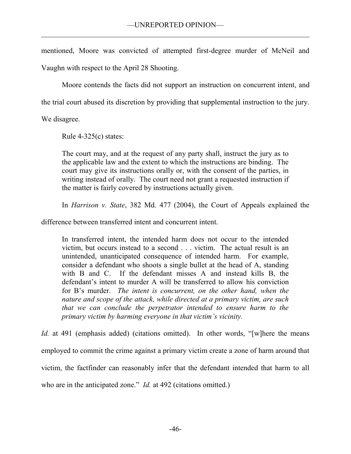mentioned, Moore was convicted of attempted first-degree murder of McNeil and Vaughn with respect to the April 28 Shooting.

Moore contends the facts did not support an instruction on concurrent intent, and

the trial court abused its discretion by providing that supplemental instruction to the jury.

We disagree.

Rule  $4-325(c)$  states:

The court may, and at the request of any party shall, instruct the jury as to the applicable law and the extent to which the instructions are binding. The court may give its instructions orally or, with the consent of the parties, in writing instead of orally. The court need not grant a requested instruction if the matter is fairly covered by instructions actually given.

In *Harrison v. State*, 382 Md. 477 (2004), the Court of Appeals explained the

difference between transferred intent and concurrent intent.

In transferred intent, the intended harm does not occur to the intended victim, but occurs instead to a second . . . victim. The actual result is an unintended, unanticipated consequence of intended harm. For example, consider a defendant who shoots a single bullet at the head of A, standing with B and C. If the defendant misses A and instead kills B, the defendant's intent to murder A will be transferred to allow his conviction for B's murder. *The intent is concurrent, on the other hand, when the nature and scope of the attack, while directed at a primary victim, are such that we can conclude the perpetrator intended to ensure harm to the primary victim by harming everyone in that victim's vicinity.*

*Id.* at 491 (emphasis added) (citations omitted). In other words, "[w]here the means employed to commit the crime against a primary victim create a zone of harm around that victim, the factfinder can reasonably infer that the defendant intended that harm to all who are in the anticipated zone." *Id.* at 492 (citations omitted.)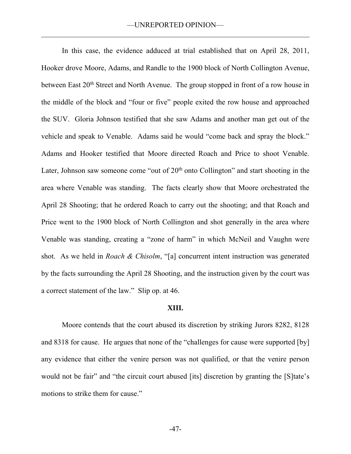In this case, the evidence adduced at trial established that on April 28, 2011, Hooker drove Moore, Adams, and Randle to the 1900 block of North Collington Avenue, between East 20<sup>th</sup> Street and North Avenue. The group stopped in front of a row house in the middle of the block and "four or five" people exited the row house and approached the SUV. Gloria Johnson testified that she saw Adams and another man get out of the vehicle and speak to Venable. Adams said he would "come back and spray the block." Adams and Hooker testified that Moore directed Roach and Price to shoot Venable. Later, Johnson saw someone come "out of  $20<sup>th</sup>$  onto Collington" and start shooting in the area where Venable was standing. The facts clearly show that Moore orchestrated the April 28 Shooting; that he ordered Roach to carry out the shooting; and that Roach and Price went to the 1900 block of North Collington and shot generally in the area where Venable was standing, creating a "zone of harm" in which McNeil and Vaughn were shot. As we held in *Roach & Chisolm*, "[a] concurrent intent instruction was generated by the facts surrounding the April 28 Shooting, and the instruction given by the court was a correct statement of the law." Slip op. at 46.

#### **XIII.**

Moore contends that the court abused its discretion by striking Jurors 8282, 8128 and 8318 for cause. He argues that none of the "challenges for cause were supported [by] any evidence that either the venire person was not qualified, or that the venire person would not be fair" and "the circuit court abused [its] discretion by granting the [S]tate's motions to strike them for cause."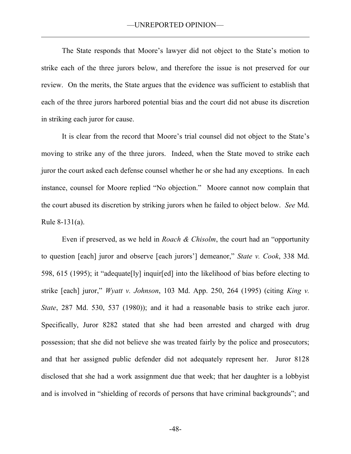The State responds that Moore's lawyer did not object to the State's motion to strike each of the three jurors below, and therefore the issue is not preserved for our review. On the merits, the State argues that the evidence was sufficient to establish that each of the three jurors harbored potential bias and the court did not abuse its discretion in striking each juror for cause.

It is clear from the record that Moore's trial counsel did not object to the State's moving to strike any of the three jurors. Indeed, when the State moved to strike each juror the court asked each defense counsel whether he or she had any exceptions. In each instance, counsel for Moore replied "No objection." Moore cannot now complain that the court abused its discretion by striking jurors when he failed to object below. *See* Md. Rule 8-131(a).

Even if preserved, as we held in *Roach & Chisolm*, the court had an "opportunity to question [each] juror and observe [each jurors'] demeanor," *State v. Cook*, 338 Md. 598, 615 (1995); it "adequate[ly] inquir[ed] into the likelihood of bias before electing to strike [each] juror," *Wyatt v. Johnson*, 103 Md. App. 250, 264 (1995) (citing *King v. State*, 287 Md. 530, 537 (1980)); and it had a reasonable basis to strike each juror. Specifically, Juror 8282 stated that she had been arrested and charged with drug possession; that she did not believe she was treated fairly by the police and prosecutors; and that her assigned public defender did not adequately represent her. Juror 8128 disclosed that she had a work assignment due that week; that her daughter is a lobbyist and is involved in "shielding of records of persons that have criminal backgrounds"; and